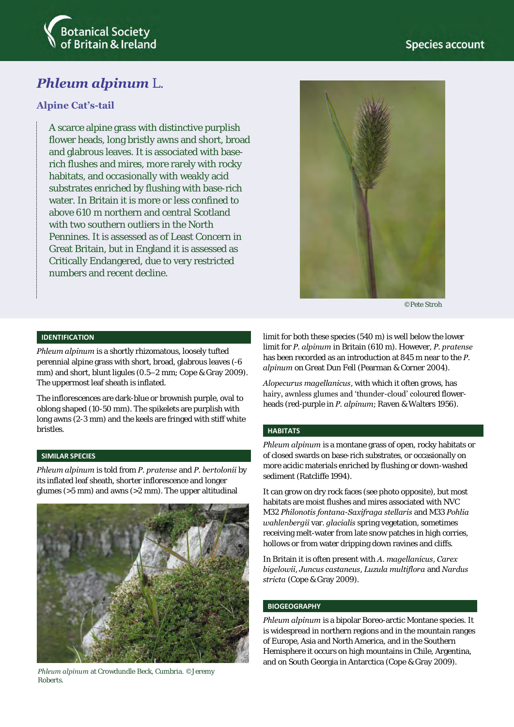

# *Phleum alpinum* L.

### **Alpine Cat's-tail**

A scarce alpine grass with distinctive purplish flower heads, long bristly awns and short, broad and glabrous leaves. It is associated with baserich flushes and mires, more rarely with rocky habitats, and occasionally with weakly acid substrates enriched by flushing with base-rich water. In Britain it is more or less confined to above 610 m northern and central Scotland with two southern outliers in the North Pennines. It is assessed as of Least Concern in Great Britain, but in England it is assessed as Critically Endangered, due to very restricted numbers and recent decline.



©Pete Stroh

#### **IDENTIFICATION**

*Phleum alpinum* is a shortly rhizomatous, loosely tufted perennial alpine grass with short, broad, glabrous leaves (-6 mm) and short, blunt ligules (0.5–2 mm; Cope & Gray 2009). The uppermost leaf sheath is inflated.

The inflorescences are dark-blue or brownish purple, oval to oblong shaped (10-50 mm). The spikelets are purplish with long awns (2-3 mm) and the keels are fringed with stiff white bristles.

#### **SIMILAR SPECIES**

*Phleum alpinum* is told from *P. pratense* and *P. bertolonii* by its inflated leaf sheath, shorter inflorescence and longer glumes (>5 mm) and awns (>2 mm). The upper altitudinal



*Phleum alpinum* at Crowdundle Beck, Cumbria. ©Jeremy Roberts.

limit for both these species (540 m) is well below the lower limit for *P. alpinum* in Britain (610 m). However, *P. pratense* has been recorded as an introduction at 845 m near to the *P. alpinum* on Great Dun Fell (Pearman & Corner 2004).

*Alopecurus magellanicus*, with which it often grows, has hairy, awnless glumes and 'thunder-cloud' coloured flowerheads (red-purple in *P. alpinum*; Raven & Walters 1956).

#### **HABITATS**

*Phleum alpinum* is a montane grass of open, rocky habitats or of closed swards on base-rich substrates, or occasionally on more acidic materials enriched by flushing or down-washed sediment (Ratcliffe 1994).

It can grow on dry rock faces (see photo opposite), but most habitats are moist flushes and mires associated with NVC M32 *Philonotis fontana*-*Saxifraga stellaris* and M33 *Pohlia wahlenbergii* var. *glacialis* spring vegetation, sometimes receiving melt-water from late snow patches in high corries, hollows or from water dripping down ravines and cliffs*.* 

In Britain it is often present with *A. magellanicus*, *Carex bigelowii*, *Juncus castaneus*, *Luzula multiflora* and *Nardus stricta* (Cope & Gray 2009).

#### **BIOGEOGRAPHY**

*Phleum alpinum* is a bipolar Boreo-arctic Montane species. It is widespread in northern regions and in the mountain ranges of Europe, Asia and North America, and in the Southern Hemisphere it occurs on high mountains in Chile, Argentina, and on South Georgia in Antarctica (Cope & Gray 2009).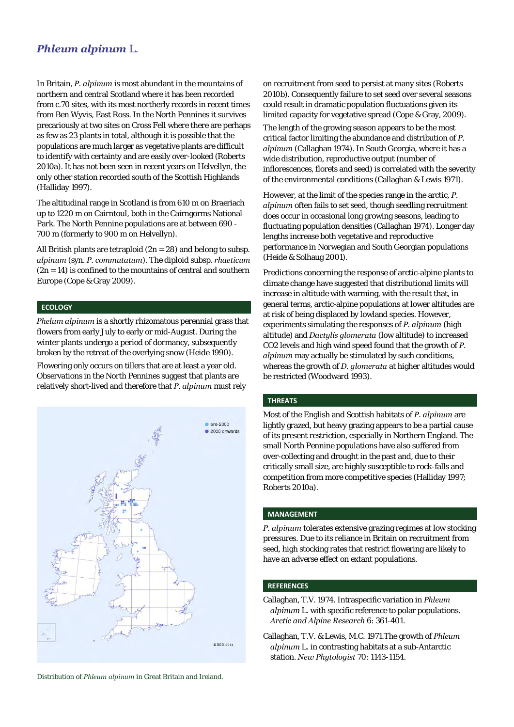### *Phleum alpinum* L.

In Britain, *P. alpinum* is most abundant in the mountains of northern and central Scotland where it has been recorded from c.70 sites, with its most northerly records in recent times from Ben Wyvis, East Ross. In the North Pennines it survives precariously at two sites on Cross Fell where there are perhaps as few as 23 plants in total, although it is possible that the populations are much larger as vegetative plants are difficult to identify with certainty and are easily over-looked (Roberts 2010a). It has not been seen in recent years on Helvellyn, the only other station recorded south of the Scottish Highlands (Halliday 1997).

The altitudinal range in Scotland is from 610 m on Braeriach up to 1220 m on Cairntoul, both in the Cairngorms National Park. The North Pennine populations are at between 690 - 700 m (formerly to 900 m on Helvellyn).

All British plants are tetraploid  $(2n = 28)$  and belong to subsp. *alpinum* (syn. *P. commutatum*). The diploid subsp. *rhaeticum*  $(2n = 14)$  is confined to the mountains of central and southern Europe (Cope & Gray 2009).

#### **ECOLOGY**

*Phelum alpinum* is a shortly rhizomatous perennial grass that flowers from early July to early or mid-August. During the winter plants undergo a period of dormancy, subsequently broken by the retreat of the overlying snow (Heide 1990).

Flowering only occurs on tillers that are at least a year old. Observations in the North Pennines suggest that plants are relatively short-lived and therefore that *P. alpinum* must rely



Distribution of *Phleum alpinum* in Great Britain and Ireland.

on recruitment from seed to persist at many sites (Roberts 2010b). Consequently failure to set seed over several seasons could result in dramatic population fluctuations given its limited capacity for vegetative spread (Cope & Gray, 2009).

The length of the growing season appears to be the most critical factor limiting the abundance and distribution of *P. alpinum* (Callaghan 1974). In South Georgia, where it has a wide distribution, reproductive output (number of inflorescences, florets and seed) is correlated with the severity of the environmental conditions (Callaghan & Lewis 1971).

However, at the limit of the species range in the arctic, *P. alpinum* often fails to set seed, though seedling recruitment does occur in occasional long growing seasons, leading to fluctuating population densities (Callaghan 1974). Longer day lengths increase both vegetative and reproductive performance in Norwegian and South Georgian populations (Heide & Solhaug 2001).

Predictions concerning the response of arctic-alpine plants to climate change have suggested that distributional limits will increase in altitude with warming, with the result that, in general terms, arctic-alpine populations at lower altitudes are at risk of being displaced by lowland species. However, experiments simulating the responses of *P. alpinum* (high altitude) and *Dactylis glomerata* (low altitude) to increased CO2 levels and high wind speed found that the growth of *P. alpinum* may actually be stimulated by such conditions, whereas the growth of *D. glomerata* at higher altitudes would be restricted (Woodward 1993).

#### **THREATS**

Most of the English and Scottish habitats of *P. alpinum* are lightly grazed, but heavy grazing appears to be a partial cause of its present restriction, especially in Northern England. The small North Pennine populations have also suffered from over-collecting and drought in the past and, due to their critically small size, are highly susceptible to rock-falls and competition from more competitive species (Halliday 1997; Roberts 2010a).

#### **MANAGEMENT**

*P. alpinum* tolerates extensive grazing regimes at low stocking pressures. Due to its reliance in Britain on recruitment from seed, high stocking rates that restrict flowering are likely to have an adverse effect on extant populations.

#### **REFERENCES**

Callaghan, T.V. 1974. Intraspecific variation in *Phleum alpinum* L. with specific reference to polar populations. *Arctic and Alpine Research* 6: 361-401.

Callaghan, T.V. & Lewis, M.C. 1971.The growth of *Phleum alpinum* L. in contrasting habitats at a sub-Antarctic station. *New Phytologist* 70: 1143-1154.